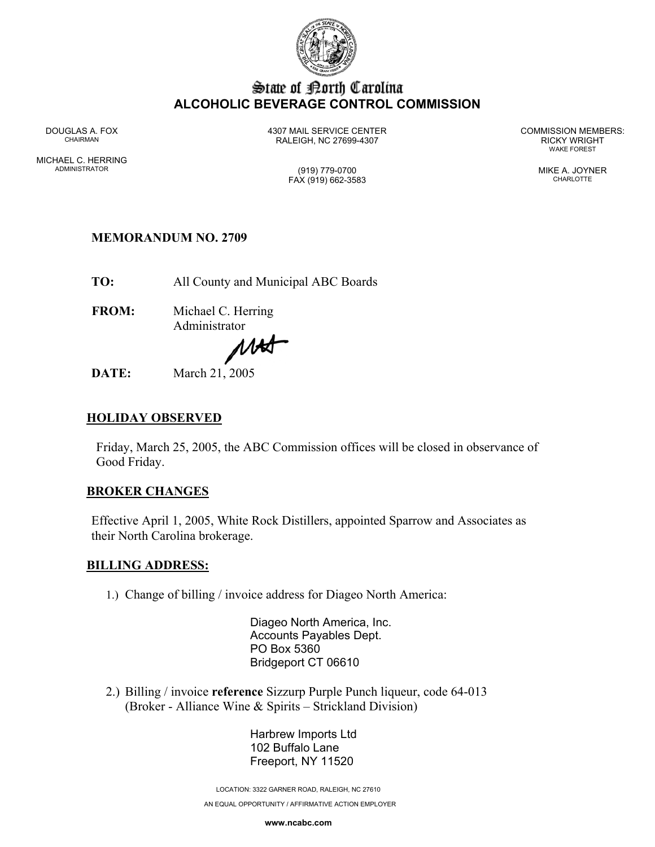

# State of Borth Carolina **ALCOHOLIC BEVERAGE CONTROL COMMISSION**

MICHAEL C. HERRING ADMINISTRATOR (919) 779-0700 MIKE A. JOYNER

DOUGLAS A. FOX 4307 MAIL SERVICE CENTER COMMISSION MEMBERS: CHAIRMAN RALEIGH, NC 27699-4307 RICKY WRIGHT

WAKE FOREST

FAX (919) 662-3583 CHARLOTTE

## **MEMORANDUM NO. 2709**

**TO:** All County and Municipal ABC Boards

**FROM:** Michael C. Herring Administrator

MAS

**DATE:** March 21, 2005

### **HOLIDAY OBSERVED**

Friday, March 25, 2005, the ABC Commission offices will be closed in observance of Good Friday.

#### **BROKER CHANGES**

Effective April 1, 2005, White Rock Distillers, appointed Sparrow and Associates as their North Carolina brokerage.

#### **BILLING ADDRESS:**

1.) Change of billing / invoice address for Diageo North America:

 Diageo North America, Inc. Accounts Payables Dept. PO Box 5360 Bridgeport CT 06610

2.) Billing / invoice **reference** Sizzurp Purple Punch liqueur, code 64-013 (Broker - Alliance Wine & Spirits – Strickland Division)

> Harbrew Imports Ltd 102 Buffalo Lane Freeport, NY 11520

LOCATION: 3322 GARNER ROAD, RALEIGH, NC 27610

AN EQUAL OPPORTUNITY / AFFIRMATIVE ACTION EMPLOYER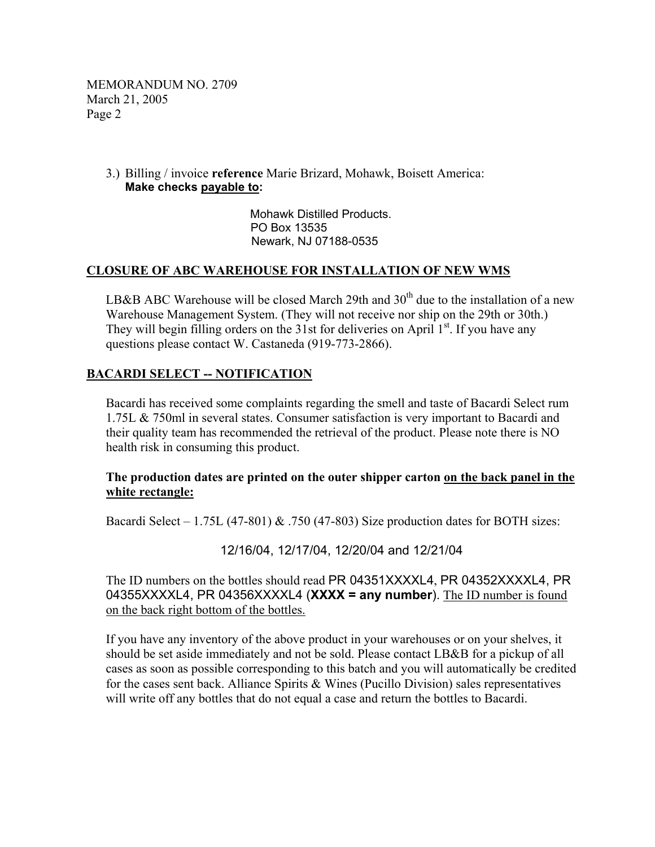MEMORANDUM NO. 2709 March 21, 2005 Page 2

#### 3.) Billing / invoice **reference** Marie Brizard, Mohawk, Boisett America: **Make checks payable to:**

Mohawk Distilled Products. PO Box 13535 Newark, NJ 07188-0535

#### **CLOSURE OF ABC WAREHOUSE FOR INSTALLATION OF NEW WMS**

LB&B ABC Warehouse will be closed March 29th and  $30<sup>th</sup>$  due to the installation of a new Warehouse Management System. (They will not receive nor ship on the 29th or 30th.) They will begin filling orders on the 31st for deliveries on April  $1<sup>st</sup>$ . If you have any questions please contact W. Castaneda (919-773-2866).

### **BACARDI SELECT -- NOTIFICATION**

Bacardi has received some complaints regarding the smell and taste of Bacardi Select rum 1.75L & 750ml in several states. Consumer satisfaction is very important to Bacardi and their quality team has recommended the retrieval of the product. Please note there is NO health risk in consuming this product.

#### **The production dates are printed on the outer shipper carton on the back panel in the white rectangle:**

Bacardi Select – 1.75L (47-801)  $\&$  .750 (47-803) Size production dates for BOTH sizes:

12/16/04, 12/17/04, 12/20/04 and 12/21/04

The ID numbers on the bottles should read PR 04351XXXXL4, PR 04352XXXXL4, PR 04355XXXXL4, PR 04356XXXXL4 (**XXXX = any number**). The ID number is found on the back right bottom of the bottles.

If you have any inventory of the above product in your warehouses or on your shelves, it should be set aside immediately and not be sold. Please contact LB&B for a pickup of all cases as soon as possible corresponding to this batch and you will automatically be credited for the cases sent back. Alliance Spirits & Wines (Pucillo Division) sales representatives will write off any bottles that do not equal a case and return the bottles to Bacardi.